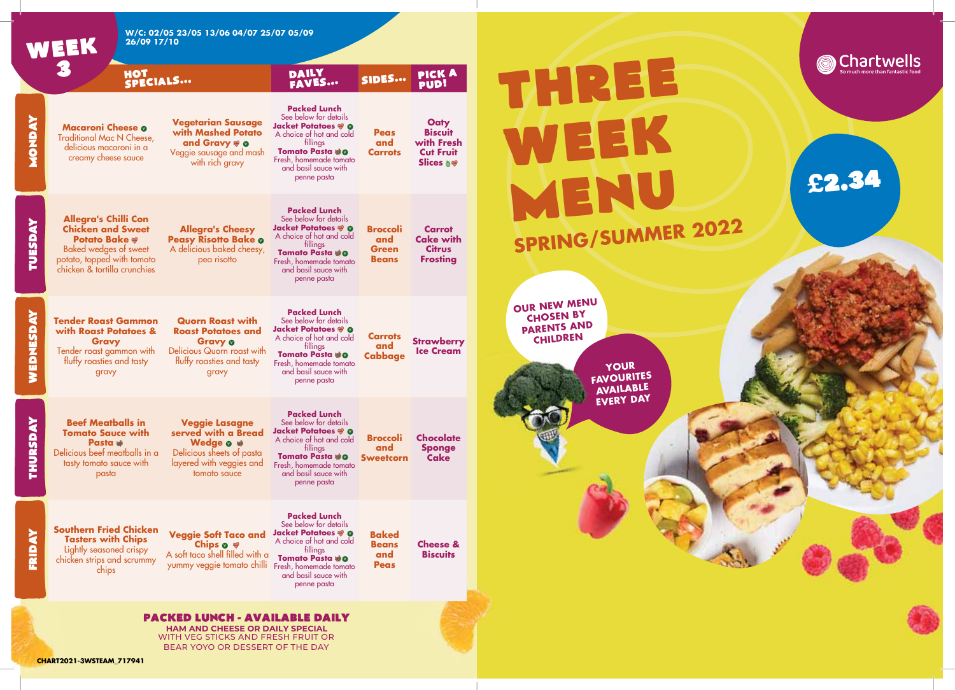